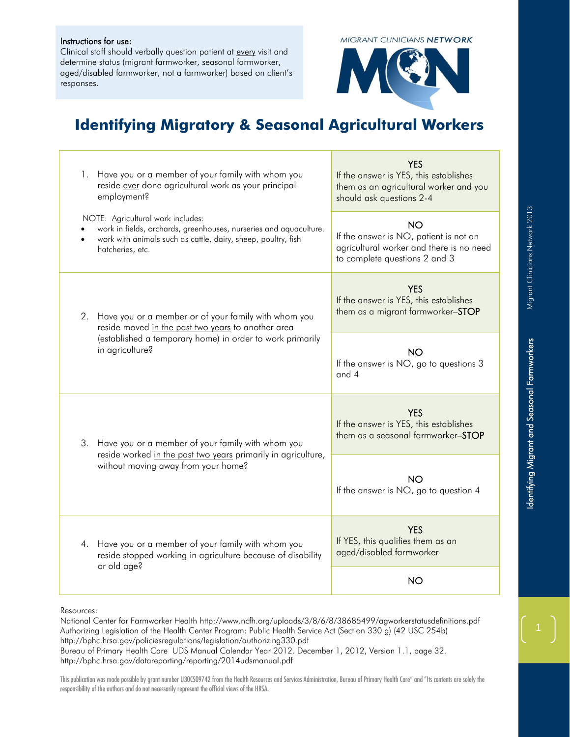## Instructions for use:

Clinical staff should verbally question patient at every visit and determine status (migrant farmworker, seasonal farmworker, aged/disabled farmworker, not a farmworker) based on client's responses.

**MIGRANT CLINICIANS NETWORK** 



## **Identifying Migratory & Seasonal Agricultural Workers**

| Have you or a member of your family with whom you<br>1.<br>reside ever done agricultural work as your principal<br>employment?                                                                   | <b>YES</b><br>If the answer is YES, this establishes<br>them as an agricultural worker and you<br>should ask questions 2-4 |
|--------------------------------------------------------------------------------------------------------------------------------------------------------------------------------------------------|----------------------------------------------------------------------------------------------------------------------------|
| NOTE: Agricultural work includes:<br>work in fields, orchards, greenhouses, nurseries and aquaculture.<br>work with animals such as cattle, dairy, sheep, poultry, fish<br>hatcheries, etc.      | NO.<br>If the answer is NO, patient is not an<br>agricultural worker and there is no need<br>to complete questions 2 and 3 |
| Have you or a member or of your family with whom you<br>2.<br>reside moved in the past two years to another area<br>(established a temporary home) in order to work primarily<br>in agriculture? | <b>YES</b><br>If the answer is YES, this establishes<br>them as a migrant farmworker-STOP                                  |
|                                                                                                                                                                                                  | <b>NO</b><br>If the answer is NO, go to questions 3<br>and 4                                                               |
| Have you or a member of your family with whom you<br>З.<br>reside worked in the past two years primarily in agriculture,<br>without moving away from your home?                                  | <b>YES</b><br>If the answer is YES, this establishes<br>them as a seasonal farmworker-STOP                                 |
|                                                                                                                                                                                                  | <b>NO</b><br>If the answer is NO, go to question 4                                                                         |
| Have you or a member of your family with whom you<br>4.<br>reside stopped working in agriculture because of disability<br>or old age?                                                            | <b>YES</b><br>If YES, this qualifies them as an<br>aged/disabled farmworker                                                |
|                                                                                                                                                                                                  | <b>NO</b>                                                                                                                  |

Resources:

National Center for Farmworker Health http://www.ncfh.org/uploads/3/8/6/8/38685499/agworkerstatusdefinitions.pdf Authorizing Legislation of the Health Center Program: Public Health Service Act (Section 330 g) (42 USC 254b) http://bphc.hrsa.gov/policiesregulations/legislation/authorizing330.pdf Bureau of Primary Health Care UDS Manual Calendar Year 2012. December 1, 2012, Version 1.1, page 32. http://bphc.hrsa.gov/datareporting/reporting/2014udsmanual.pdf

This publication was made possible by grant number U30CS09742 from the Health Resources and Services Administration, Bureau of Primary Health Care" and "Its contents are solely the responsibility of the authors and do not necessarily represent the official views of the HRSA.